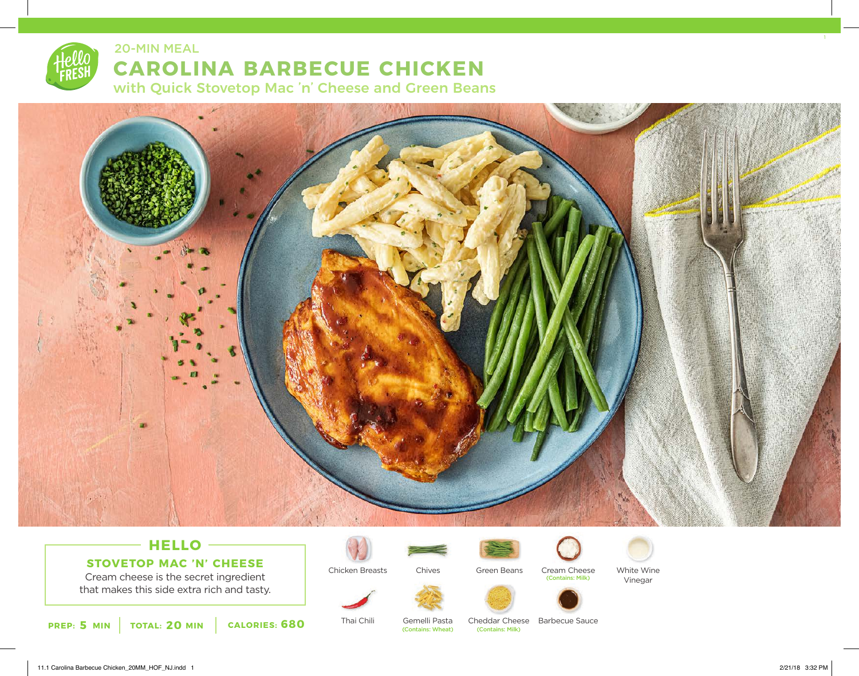20-MIN MEAL

## **CAROLINA BARBECUE CHICKEN**

with Quick Stovetop Mac 'n' Cheese and Green Beans



## **HELLO STOVETOP MAC 'N' CHEESE**

Cream cheese is the secret ingredient that makes this side extra rich and tasty.



Thai Chili



Chives

Gemelli Pasta<br>(Contains: Wheat)



Cream Cheese (Contains: Milk)



White Wine Vinegar



Cheddar Cheese Barbecue Sauce